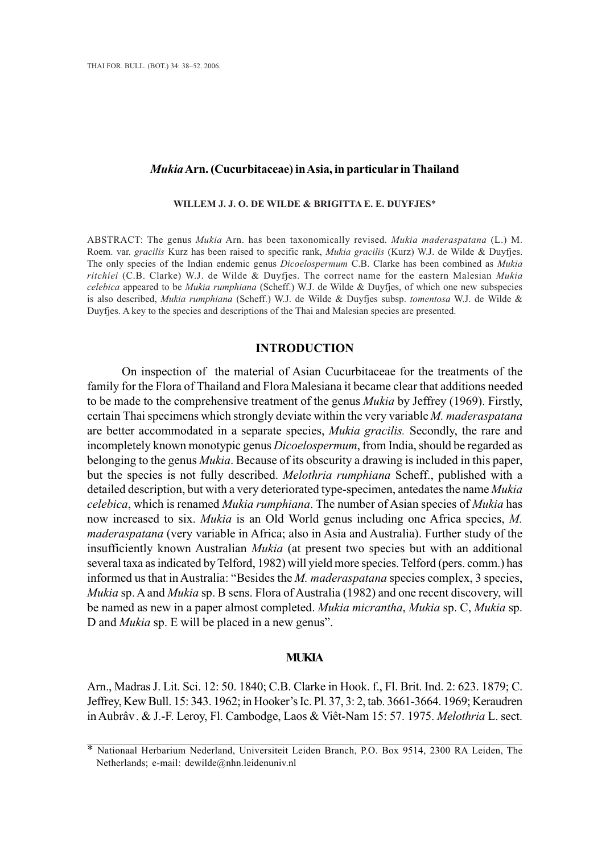## *Mukia* **Arn. (Cucurbitaceae) in Asia, in particular in Thailand**

#### **WILLEM J. J. O. DE WILDE & BRIGITTA E. E. DUYFJES**\* **WILLEM J. J. O. & BRIGITTA E. E. DUYFJES**\*

ABSTRACT: The genus *Mukia* Arn. has been taxonomically revised. *Mukia maderaspatana* (L.) M. Roem. var. *gracilis* Kurz has been raised to specific rank, *Mukia gracilis* (Kurz) W.J. de Wilde & Duyfjes. The only species of the Indian endemic genus *Dicoelospermum* C.B. Clarke has been combined as *Mukia ritchiei* (C.B. Clarke) W.J. de Wilde & Duyfjes. The correct name for the eastern Malesian *Mukia celebica* appeared to be *Mukia rumphiana* (Scheff.) W.J. de Wilde & Duyfjes, of which one new subspecies is also described, *Mukia rumphiana* (Scheff.) W.J. de Wilde & Duyfjes subsp. *tomentosa* W.J. de Wilde & Duyfjes. A key to the species and descriptions of the Thai and Malesian species are presented. Duyfjes. A key to the species and descriptions of the Thai and Malesian species are presented.

## **INTRODUCTION INTRODUCTION**

On inspection of the material of Asian Cucurbitaceae for the treatments of the family for the Flora of Thailand and Flora Malesiana it became clear that additions needed to be made to the comprehensive treatment of the genus *Mukia* by Jeffrey (1969). Firstly, certain Thai specimens which strongly deviate within the very variable *M. maderaspatana* are better accommodated in a separate species, *Mukia gracilis.* Secondly, the rare and incompletely known monotypic genus *Dicoelospermum*, from India, should be regarded as belonging to the genus *Mukia*. Because of its obscurity a drawing is included in this paper, but the species is not fully described. *Melothria rumphiana* Scheff., published with a detailed description, but with a very deteriorated type-specimen, antedates the name *Mukia celebica*, which is renamed *Mukia rumphiana*. The number of Asian species of *Mukia* has now increased to six. *Mukia* is an Old World genus including one Africa species, *M. maderaspatana* (very variable in Africa; also in Asia and Australia). Further study of the insufficiently known Australian *Mukia* (at present two species but with an additional several taxa as indicated by Telford, 1982) will yield more species. Telford (pers. comm.) has informed us that in Australia: "Besides the *M. maderaspatana* species complex, 3 species, *Mukia* sp. A and *Mukia* sp. B sens. Flora of Australia (1982) and one recent discovery, will be named as new in a paper almost completed. *Mukia micrantha*, *Mukia* sp. C, *Mukia* sp. D and *Mukia* sp. E will be placed in a new genus".

## **MUKIA**

Arn., Madras J. Lit. Sci. 12: 50. 1840; C.B. Clarke in Hook. f., Fl. Brit. Ind. 2: 623. 1879; C. Jeffrey, Kew Bull. 15: 343. 1962; in Hooker's Ic. Pl. 37, 3: 2, tab. 3661-3664. 1969; Keraudren Arn., Madras J. Lit. Sci. 12: 50. 1840; C.B. Clarke in Hook. f., Fl. Brit. Ind. 2: 623. 1879; C.<br>Jeffrey, Kew Bull. 15: 343. 1962; in Hooker's Ic. Pl. 37, 3: 2, tab. 3661-3664. 1969; Keraudren<br>in Aubrâv. & J.-F. Leroy, Fl.

<sup>\*</sup> Nationaal Herbarium Nederland, Universiteit Leiden Branch, P.O. Box 9514, 2300 RA Leiden, The Netherlands; e-mail: dewilde@nhn.leidenuniv.nl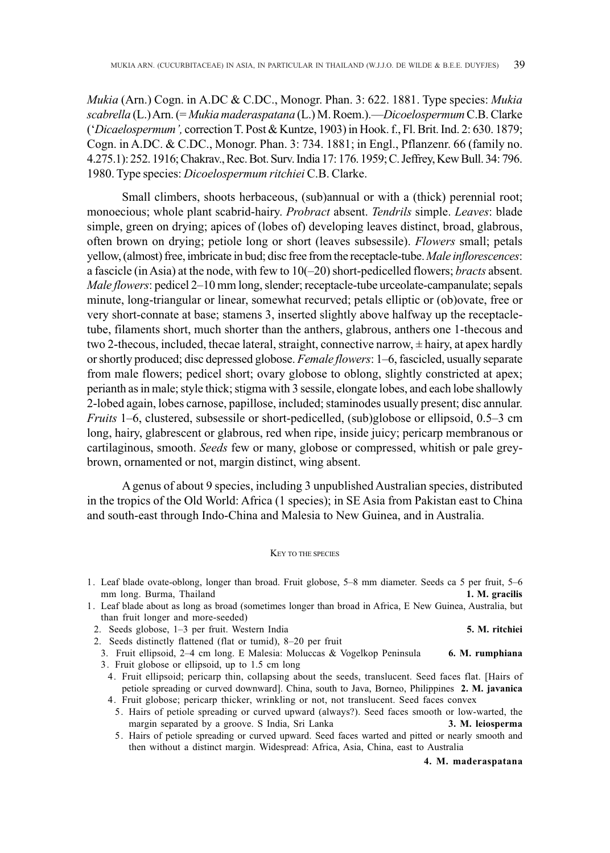*Mukia* (Arn.) Cogn. in A.DC & C.DC., Monogr. Phan. 3: 622. 1881. Type species: *Mukia scabrella* (L.) Arn. (= *Mukia maderaspatana* (L.) M. Roem.).—*Dicoelospermum* C.B. Clarke ('*Dicaelospermum',* correction T. Post & Kuntze, 1903) in Hook. f., Fl. Brit. Ind. 2: 630. 1879; Cogn. in A.DC. & C.DC., Monogr. Phan. 3: 734. 1881; in Engl., Pflanzenr. 66 (family no. 4.275.1): 252. 1916; Chakrav., Rec. Bot. Surv. India 17: 176. 1959; C. Jeffrey, Kew Bull. 34: 796. 1980. Type species: *Dicoelospermum ritchiei* C.B. Clarke.

Small climbers, shoots herbaceous, (sub)annual or with a (thick) perennial root; monoecious; whole plant scabrid-hairy. *Probract* absent. *Tendrils* simple. *Leaves*: blade simple, green on drying; apices of (lobes of) developing leaves distinct, broad, glabrous, often brown on drying; petiole long or short (leaves subsessile). *Flowers* small; petals yellow, (almost) free, imbricate in bud; disc free from the receptacle-tube. *Male inflorescences*: a fascicle (in Asia) at the node, with few to 10(–20) short-pedicelled flowers; *bracts* absent. *Male flowers*: pedicel 2–10 mm long, slender; receptacle-tube urceolate-campanulate; sepals minute, long-triangular or linear, somewhat recurved; petals elliptic or (ob)ovate, free or very short-connate at base; stamens 3, inserted slightly above halfway up the receptacletube, filaments short, much shorter than the anthers, glabrous, anthers one 1-thecous and two 2-thecous, included, thecae lateral, straight, connective narrow, ± hairy, at apex hardly or shortly produced; disc depressed globose. *Female flowers*: 1–6, fascicled, usually separate from male flowers; pedicel short; ovary globose to oblong, slightly constricted at apex; perianth as in male; style thick; stigma with 3 sessile, elongate lobes, and each lobe shallowly 2-lobed again, lobes carnose, papillose, included; staminodes usually present; disc annular. *Fruits* 1–6, clustered, subsessile or short-pedicelled, (sub)globose or ellipsoid, 0.5–3 cm long, hairy, glabrescent or glabrous, red when ripe, inside juicy; pericarp membranous or cartilaginous, smooth. *Seeds* few or many, globose or compressed, whitish or pale greybrown, ornamented or not, margin distinct, wing absent.

A genus of about 9 species, including 3 unpublished Australian species, distributed in the tropics of the Old World: Africa (1 species); in SE Asia from Pakistan east to China and south-east through Indo-China and Malesia to New Guinea, and in Australia.

#### KEY TO THE SPECIES

- 1. Leaf blade ovate-oblong, longer than broad. Fruit globose, 5–8 mm diameter. Seeds ca 5 per fruit, 5–6 mm long. Burma, Thailand **1. M. gracilis**
- 1. Leaf blade about as long as broad (sometimes longer than broad in Africa, E New Guinea, Australia, but than fruit longer and more-seeded)
- 2. Seeds globose, 1–3 per fruit. Western India **5. M. ritchiei**
- 2. Seeds distinctly flattened (flat or tumid), 8–20 per fruit
- 3. Fruit ellipsoid, 2–4 cm long. E Malesia: Moluccas & Vogelkop Peninsula **6. M. rumphiana** 3. Fruit globose or ellipsoid, up to 1.5 cm long
	- 4. Fruit ellipsoid; pericarp thin, collapsing about the seeds, translucent. Seed faces flat. [Hairs of petiole spreading or curved downward]. China, south to Java, Borneo, Philippines **2. M. javanica** 4. Fruit globose; pericarp thicker, wrinkling or not, not translucent. Seed faces convex
		- 5. Hairs of petiole spreading or curved upward (always?). Seed faces smooth or low-warted, the margin separated by a groove. S India, Sri Lanka **3. M. leiosperma**
		- 5. Hairs of petiole spreading or curved upward. Seed faces warted and pitted or nearly smooth and then without a distinct margin. Widespread: Africa, Asia, China, east to Australia

**4. M. maderaspatana**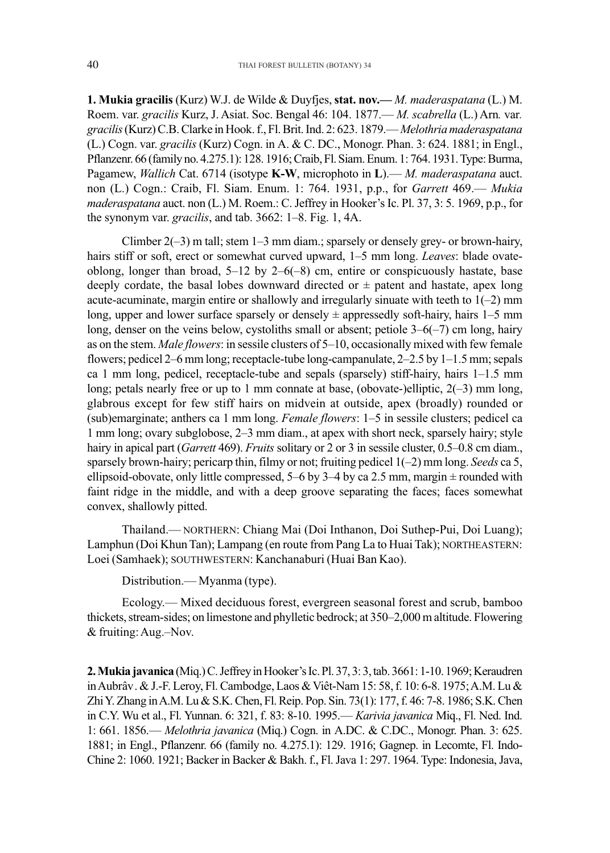1. Mukia gracilis (Kurz) W.J. de Wilde & Duyfjes, stat. nov.— *M. maderaspatana* (L.) M. Roem. var. *gracilis* Kurz, J. Asiat. Soc. Bengal 46: 104. 1877.— *M. scabrella* (L.) Arn. var. *gracilis* (Kurz) C.B. Clarke in Hook. f., Fl. Brit. Ind. 2: 623. 1879.—*Melothriamaderaspatana* (L.) Cogn. var. *gracilis* (Kurz) Cogn. in A. & C. DC., Monogr. Phan. 3: 624. 1881; in Engl., Pflanzenr. 66 (family no. 4.275.1): 128. 1916; Craib, Fl. Siam. Enum. 1: 764. 1931. Type: Burma, Pagamew, *Wallich* Cat. 6714 (isotype **K-W**, microphoto in **L**).— *M. maderaspatana* auct. non (L.) Cogn.: Craib, Fl. Siam. Enum. 1: 764. 1931, p.p., for *Garrett* 469.— *Mukia maderaspatana* auct. non (L.) M. Roem.: C. Jeffrey in Hooker's Ic. Pl. 37, 3: 5. 1969, p.p., for the synonym var. *gracilis*, and tab. 3662: 1–8. Fig. 1, 4A. maderaspatana auct. non (L.) M. Roem.: C. Jeffrey in Hooker's Ic. Pl. 37, 3: 5. 1969, p.p., for<br>the synonym var. *gracilis*, and tab. 3662: 1–8. Fig. 1, 4A.<br>Climber 2(–3) m tall; stem 1–3 mm diam.; sparsely or densely grey (L.) Cogn. var. *gracilis* (Kurz) Cogn. in A. & C. DC., Monogr. Phan. 3: 624. 1881; in Engl., Pflanzenr. 66 (family no. 4.275.1): 128. 1916; Craib, Fl. Siam. Enum. 1: 764. 1931. Type: Burma, Pagamew, *Wallich* Cat. 6714

Climber  $2(-3)$  m tall; stem  $1-3$  mm diam.; sparsely or densely grey- or brown-hairy, oblong, longer than broad, 5–12 by 2–6(–8) cm, entire or conspicuously hastate, base deeply cordate, the basal lobes downward directed or  $\pm$  patent and hastate, apex long acute-acuminate, margin entire or shallowly and irregularly sinuate with teeth to  $1(-2)$  mm long, upper and lower surface sparsely or densely  $\pm$  appressedly soft-hairy, hairs 1–5 mm long, denser on the veins below, cystoliths small or absent; petiole  $3-6(-7)$  cm long, hairy as on the stem. *Male flowers*: in sessile clusters of 5–10, occasionally mixed with few female flowers; pedicel 2–6 mm long; receptacle-tube long-campanulate, 2–2.5 by 1–1.5 mm; sepals ca 1 mm long, pedicel, receptacle-tube and sepals (sparsely) stiff-hairy, hairs 1–1.5 mm long; petals nearly free or up to 1 mm connate at base, (obovate-)elliptic,  $2(-3)$  mm long, glabrous except for few stiff hairs on midvein at outside, apex (broadly) rounded or (sub)emarginate; anthers ca 1 mm long. *Female flowers*: 1–5 in sessile clusters; pedicel ca 1 mm long; ovary subglobose, 2–3 mm diam., at apex with short neck, sparsely hairy; style hairy in apical part *(Garrett* 469). *Fruits* solitary or 2 or 3 in sessile cluster, 0.5–0.8 cm diam., sparsely brown-hairy; pericarp thin, filmy or not; fruiting pedicel 1(–2) mm long. *Seeds* ca 5, ellipsoid-obovate, only little compressed,  $5-6$  by  $3-4$  by ca 2.5 mm, margin  $\pm$  rounded with faint ridge in the middle, and with a deep groove separating the faces; faces somewhat convex, shallowly pitted. oblong, longer than broad, 5–12 by 2–6(–8) cm, entire or conspicuously hastate, base<br>deeply cordate, the basal lobes downward directed or  $\pm$  patent and hastate, apex long<br>actue-acuminate, margin entire or shallowly and

Thailand.— NORTHERN: Chiang Mai (Doi Inthanon, Doi Suthep-Pui, Doi Luang); Lamphun (Doi Khun Tan); Lampang (en route from Pang La to Huai Tak); NORTHEASTERN: Loei (Samhaek); SOUTHWESTERN: Kanchanaburi (Huai Ban Kao).

Distribution.— Myanma (type).

Ecology.— Mixed deciduous forest, evergreen seasonal forest and scrub, bamboo thickets, stream-sides; on limestone and phylletic bedrock; at 350–2,000 m altitude. Flowering & fruiting: Aug.–Nov.

**2. Mukia javanica** (Miq.) C. Jeffrey in Hooker's Ic. Pl. 37, 3: 3, tab. 3661: 1-10. 1969; Keraudren in Aubrâv. & J.-F. Leroy, Fl. Cambodge, Laos & Viät-Nam 15: 58, f. 10: 6-8. 1975;A.M. Lu & Zhi Y. Zhang in A.M. Lu & S.K. Chen, Fl. Reip. Pop. Sin. 73(1): 177, f. 46: 7-8. 1986; S.K. Chen in C.Y. Wu et al., Fl. Yunnan. 6: 321, f. 83: 8-10. 1995.— *Karivia javanica* Miq., Fl. Ned. Ind. 1: 661. 1856.— *Melothria javanica* (Miq.) Cogn. in A.DC. & C.DC., Monogr. Phan. 3: 625. 1881; in Engl., Pflanzenr. 66 (family no. 4.275.1): 129. 1916; Gagnep. in Lecomte, Fl. Indo-Chine 2: 1060. 1921; Backer in Backer & Bakh. f., Fl. Java 1: 297. 1964. Type: Indonesia, Java, in Aubrâv. & J.-F. Leroy, Fl. Cambodge, Laos & Viêt-Nam 15: 58, f. 10: 6-8. 1975; A.M. Lu & Zhi Y. Zhang in A.M. Lu & S.K. Chen, Fl. Reip. Pop. Sin. 73(1): 177, f. 46: 7-8. 1986; S.K. Chen in C.Y. Wu et al., Fl. Yunnan. 6: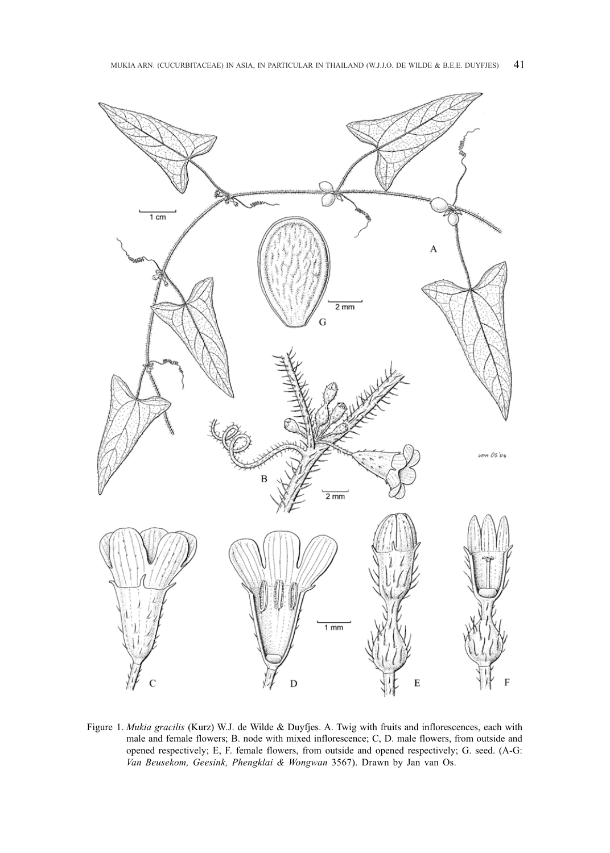

Figure 1. *Mukia gracilis* (Kurz) W.J. de Wilde & Duyfjes. A. Twig with fruits and inflorescences, each with male and female flowers; B. node with mixed inflorescence; C, D. male flowers, from outside and opened respectively; E, F. female flowers, from outside and opened respectively; G. seed. (A-G: *Van Beusekom, Geesink, Phengklai & Wongwan* 3567). Drawn by Jan van Os.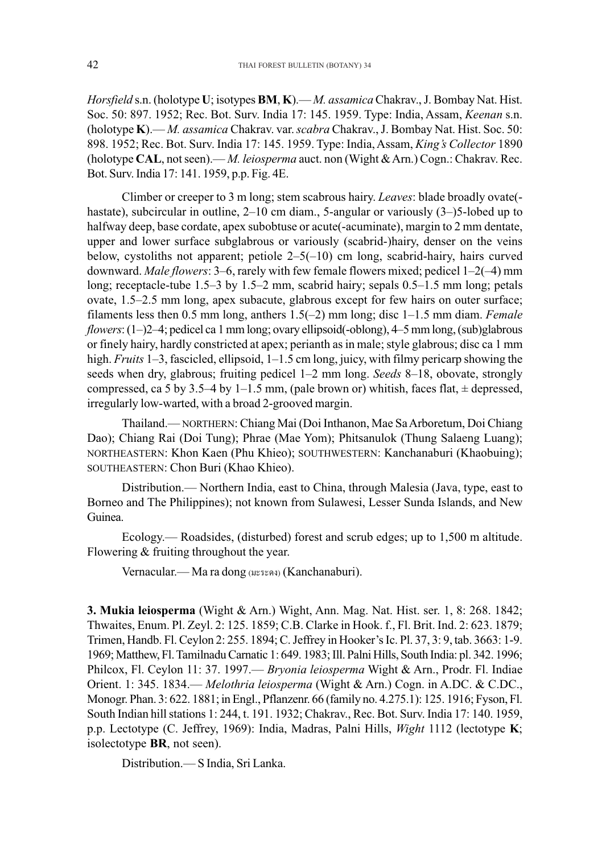*Horsfield* s.n. (holotype **U**; isotypes **BM**, **K**).— *M. assamica* Chakrav., J. Bombay Nat. Hist. Soc. 50: 897. 1952; Rec. Bot. Surv. India 17: 145. 1959. Type: India, Assam, *Keenan* s.n. (holotype **K**).— *M. assamica* Chakrav. var. *scabra* Chakrav., J. Bombay Nat. Hist. Soc. 50: 898. 1952; Rec. Bot. Surv. India 17: 145. 1959. Type: India, Assam, *King's Collector* 1890 (holotype **CAL**, not seen).— *M. leiosperma* auct. non (Wight & Arn.) Cogn.: Chakrav. Rec. Bot. Surv. India 17: 141. 1959, p.p. Fig. 4E.

Climber or creeper to 3 m long; stem scabrous hairy. *Leaves*: blade broadly ovate( hastate), subcircular in outline, 2–10 cm diam., 5-angular or variously (3–)5-lobed up to halfway deep, base cordate, apex subobtuse or acute(-acuminate), margin to 2 mm dentate, upper and lower surface subglabrous or variously (scabrid-)hairy, denser on the veins below, cystoliths not apparent; petiole  $2-5(-10)$  cm long, scabrid-hairy, hairs curved downward. *Male flowers*: 3–6, rarely with few female flowers mixed; pedicel 1–2(–4) mm long; receptacle-tube 1.5–3 by 1.5–2 mm, scabrid hairy; sepals 0.5–1.5 mm long; petals ovate, 1.5–2.5 mm long, apex subacute, glabrous except for few hairs on outer surface; filaments less then 0.5 mm long, anthers 1.5(–2) mm long; disc 1–1.5 mm diam. *Female flowers*: (1–)2–4; pedicel ca 1 mm long; ovary ellipsoid(-oblong), 4–5 mm long, (sub)glabrous or finely hairy, hardly constricted at apex; perianth as in male; style glabrous; disc ca 1 mm high. *Fruits* 1–3, fascicled, ellipsoid, 1–1.5 cm long, juicy, with filmy pericarp showing the seeds when dry, glabrous; fruiting pedicel 1–2 mm long. *Seeds* 8–18, obovate, strongly compressed, ca 5 by 3.5–4 by 1–1.5 mm, (pale brown or) whitish, faces flat,  $\pm$  depressed, irregularly low-warted, with a broad 2-grooved margin.

Thailand.— NORTHERN: Chiang Mai (Doi Inthanon, Mae Sa Arboretum, Doi Chiang Dao); Chiang Rai (Doi Tung); Phrae (Mae Yom); Phitsanulok (Thung Salaeng Luang); NORTHEASTERN: Khon Kaen (Phu Khieo); SOUTHWESTERN: Kanchanaburi (Khaobuing); SOUTHEASTERN: Chon Buri (Khao Khieo).

Distribution.— Northern India, east to China, through Malesia (Java, type, east to Borneo and The Philippines); not known from Sulawesi, Lesser Sunda Islands, and New Guinea.

Ecology.— Roadsides, (disturbed) forest and scrub edges; up to 1,500 m altitude. Flowering & fruiting throughout the year.

Vernacular.— Ma ra dong (uzszaa) (Kanchanaburi).

**3. Mukia leiosperma** (Wight & Arn.) Wight, Ann. Mag. Nat. Hist. ser. 1, 8: 268. 1842; Thwaites, Enum. Pl. Zeyl. 2: 125. 1859; C.B. Clarke in Hook. f., Fl. Brit. Ind. 2: 623. 1879; Trimen, Handb. Fl. Ceylon 2: 255. 1894; C. Jeffrey in Hooker's Ic. Pl. 37, 3: 9, tab. 3663: 1-9. 1969; Matthew, Fl. Tamilnadu Carnatic 1: 649. 1983; Ill. Palni Hills, South India: pl. 342. 1996; Philcox, Fl. Ceylon 11: 37. 1997.— *Bryonia leiosperma* Wight & Arn., Prodr. Fl. Indiae Orient. 1: 345. 1834.— *Melothria leiosperma* (Wight & Arn.) Cogn. in A.DC. & C.DC., Monogr. Phan. 3: 622. 1881; in Engl., Pflanzenr. 66 (family no. 4.275.1): 125. 1916; Fyson, Fl. South Indian hill stations 1: 244, t. 191. 1932; Chakrav., Rec. Bot. Surv. India 17: 140. 1959, p.p. Lectotype (C. Jeffrey, 1969): India, Madras, Palni Hills, *Wight* 1112 (lectotype **K**; isolectotype **BR**, not seen).

Distribution.— S India, Sri Lanka.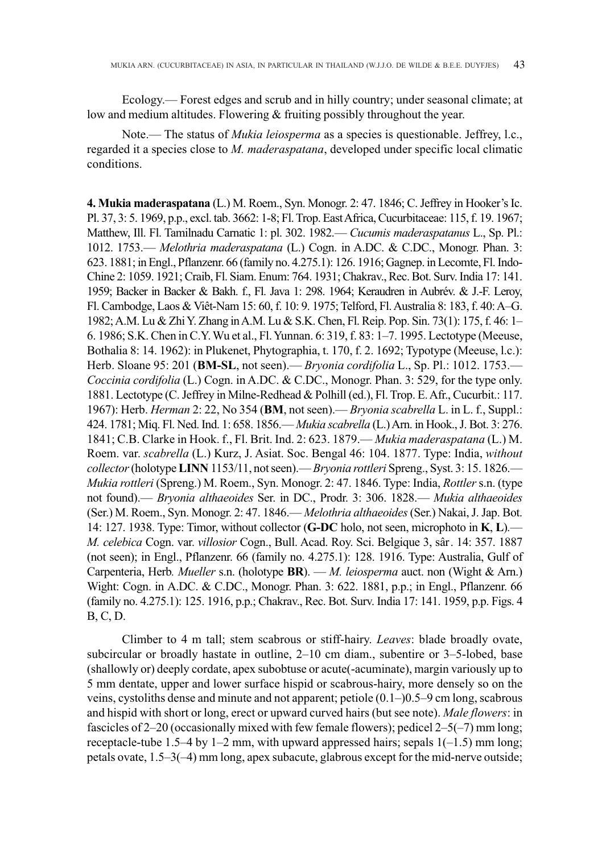Ecology.— Forest edges and scrub and in hilly country; under seasonal climate; at low and medium altitudes. Flowering & fruiting possibly throughout the year.

Note.— The status of *Mukia leiosperma* as a species is questionable. Jeffrey, l.c., regarded it a species close to *M. maderaspatana*, developed under specific local climatic conditions.

**4. Mukia maderaspatana** (L.) M. Roem., Syn. Monogr. 2: 47. 1846; C. Jeffrey in Hooker's Ic. Pl. 37, 3: 5. 1969, p.p., excl. tab. 3662: 1-8; Fl. Trop. East Africa, Cucurbitaceae: 115, f. 19. 1967; Matthew, Ill. Fl. Tamilnadu Carnatic 1: pl. 302. 1982.—*Cucumis maderaspatanus* L., Sp. Pl.: 1012. 1753.— *Melothria maderaspatana* (L.) Cogn. in A.DC. & C.DC., Monogr. Phan. 3: 623. 1881; in Engl., Pflanzenr. 66 (family no. 4.275.1): 126. 1916; Gagnep. in Lecomte, Fl. Indo-Chine 2: 1059. 1921; Craib, Fl. Siam. Enum: 764. 1931; Chakrav., Rec. Bot. Surv. India 17: 141. 1959; Backer in Backer & Bakh. f., Fl. Java 1: 298. 1964; Keraudren in Aubrév. & J.-F. Leroy, Fl. Cambodge, Laos & Viêt-Nam 15: 60, f. 10: 9. 1975; Telford, Fl. Australia 8: 183, f. 40: A–G. 1982; A.M. Lu & Zhi Y. Zhang in A.M. Lu & S.K. Chen, Fl. Reip. Pop. Sin. 73(1): 175, f. 46: 1– 6. 1986; S.K. Chen in C.Y. Wu et al., Fl. Yunnan. 6: 319, f. 83: 1–7. 1995. Lectotype (Meeuse, Bothalia 8: 14. 1962): in Plukenet, Phytographia, t. 170, f. 2. 1692; Typotype (Meeuse, l.c.): Herb. Sloane 95: 201 (**BM-SL**, not seen).— *Bryonia cordifolia* L., Sp. Pl.: 1012. 1753.— *Coccinia cordifolia* (L.) Cogn. in A.DC. & C.DC., Monogr. Phan. 3: 529, for the type only. Coccinia cordifolia (L.) Cogn. in A.DC. & C.DC., Monogr. Phan. 3: 529, for the type only.<br>1881. Lectotype (C. Jeffrey in Milne-Redhead & Polhill (ed.), Fl. Trop. E. Afr., Cucurbit.: 117. 1967): Herb. *Herman* 2: 22, No 354 (**BM**, not seen).— *Bryonia scabrella* L. in L. f., Suppl.: 424. 1781; Miq. Fl. Ned. Ind. 1: 658. 1856.—*Mukia scabrella* (L.) Arn. in Hook., J. Bot. 3: 276. 1841; C.B. Clarke in Hook. f., Fl. Brit. Ind. 2: 623. 1879.— *Mukia maderaspatana* (L.) M. Roem. var. *scabrella* (L.) Kurz, J. Asiat. Soc. Bengal 46: 104. 1877. Type: India, *without collector* (holotype **LINN** 1153/11, not seen).—*Bryonia rottleri* Spreng., Syst. 3: 15. 1826.— *Mukia rottleri* (Spreng.) M. Roem., Syn. Monogr. 2: 47. 1846. Type: India, *Rottler* s.n. (type *Mukia rottleri* (Spreng.) M. Roem., Syn. Monogr. 2: 47. 1846. Type: India, *Rottler* s.n. (type<br>not found).— *Bryonia althaeoides S*er. in DC., Prodr. 3: 306. 1828.— *Mukia althaeoides* (Ser.) M. Roem., Syn. Monogr. 2: 47. 1846.—*Melothria althaeoides* (Ser.) Nakai, J. Jap. Bot. (Ser.) M. Roem., Syn. Monogr. 2: 47. 1846.— *Melothria althaeoides* (Ser.) Nakai, J. Jap. Bot.<br>14: 127. 1938. Type: Timor, without collector (**G-DC** holo, not seen, microphoto in **K**, **L**).— *M. celebica* Cogn. var. *villosior* Cogn., Bull. Acad. Roy. Sci. Belgique 3, sâr. 14: 357. 1887 (not seen); in Engl., Pflanzenr. 66 (family no. 4.275.1): 128. 1916. Type: Australia, Gulf of Carpenteria, Herb*. Mueller* s.n. (holotype **BR**). — *M. leiosperma* auct. non (Wight & Arn.) Wight: Cogn. in A.DC. & C.DC., Monogr. Phan. 3: 622. 1881, p.p.; in Engl., Pflanzenr. 66 (family no. 4.275.1): 125. 1916, p.p.; Chakrav., Rec. Bot. Surv. India 17: 141. 1959, p.p. Figs. 4 B, C, D. **4. Mukia maderaspatana** (L.) M. Roem., Syn. Monogr. 2: 47. 1846; C. Jeffrey in Hooker's Ic. Pl. 37, 3: 5. 1969, p.p., excl. tab. 3662: 1-8; Fl. Trop. East Africa, Cucurbitaceae: 115, f. 19. 1967; Matthew, Ill. Fl. Tamiln *Herman* 2: 22, No 354 (**BM**, not seen).— *Bryonia scabrella* L. in L. f., Suppl.:<br>iq. Fl. Ned. Ind. 1: 658. 1856.— *Mukia scabrella* (L.) Arn. in Hook., J. Bot. 3: 276.<br>larke in Hook. f., Fl. Brit. Ind. 2: 623. 1879.— *Mu M. celebica* Cogn. var. *villosior* Cogn., Bull. Acad. Roy. Sci. Belgique 3, sâr. 14: 357. 1887 (not seen); in Engl., Pflanzenr. 66 (family no. 4.275.1): 128. 1916. Type: Australia, Gulf of Carpenteria, Herb. *Mueller* s.

Climber to 4 m tall; stem scabrous or stiff-hairy. *Leaves*: blade broadly ovate, subcircular or broadly hastate in outline, 2–10 cm diam., subentire or 3–5-lobed, base (shallowly or) deeply cordate, apex subobtuse or acute(-acuminate), margin variously up to 5 mm dentate, upper and lower surface hispid or scabrous-hairy, more densely so on the veins, cystoliths dense and minute and not apparent; petiole  $(0.1-)0.5-9$  cm long, scabrous and hispid with short or long, erect or upward curved hairs (but see note). Male flowers: in fascicles of  $2-20$  (occasionally mixed with few female flowers); pedicel  $2-5(-7)$  mm long; receptacle-tube 1.5–4 by 1–2 mm, with upward appressed hairs; sepals  $1(-1.5)$  mm long; petals ovate, 1.5–3(–4) mm long, apex subacute, glabrous except for the mid-nerve outside;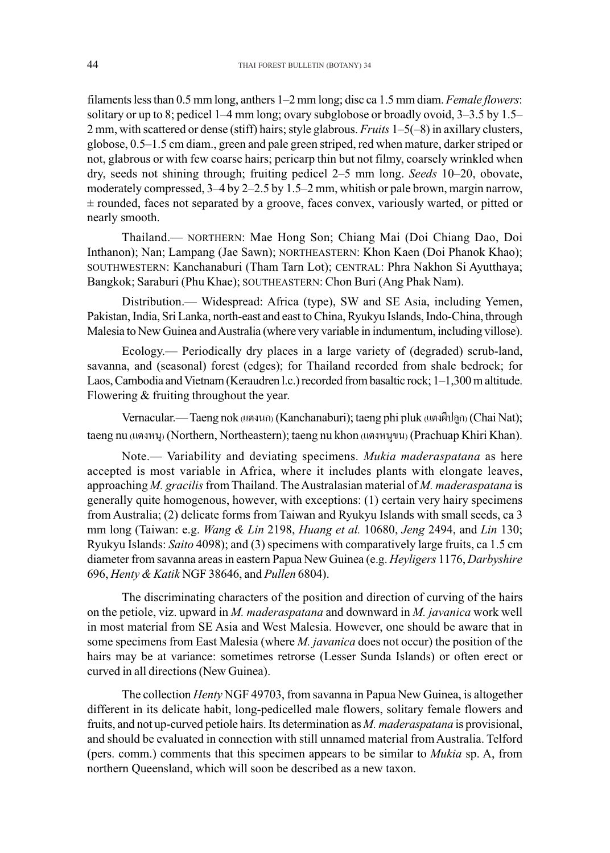filaments less than 0.5 mm long, anthers 1–2 mm long; disc ca 1.5 mm diam. *Female flowers*: solitary or up to 8; pedicel 1–4 mm long; ovary subglobose or broadly ovoid, 3–3.5 by 1.5– 2 mm, with scattered or dense (stiff) hairs; style glabrous. *Fruits* 1–5(–8) in axillary clusters, globose, 0.5–1.5 cm diam., green and pale green striped, red when mature, darker striped or not, glabrous or with few coarse hairs; pericarp thin but not filmy, coarsely wrinkled when dry, seeds not shining through; fruiting pedicel 2–5 mm long. *Seeds* 10–20, obovate, moderately compressed, 3–4 by 2–2.5 by 1.5–2 mm, whitish or pale brown, margin narrow,  $\pm$  rounded, faces not separated by a groove, faces convex, variously warted, or pitted or nearly smooth.

Thailand.— NORTHERN: Mae Hong Son; Chiang Mai (Doi Chiang Dao, Doi Inthanon); Nan; Lampang (Jae Sawn); NORTHEASTERN: Khon Kaen (Doi Phanok Khao); SOUTHWESTERN: Kanchanaburi (Tham Tarn Lot); CENTRAL: Phra Nakhon Si Ayutthaya; Bangkok; Saraburi (Phu Khae); SOUTHEASTERN: Chon Buri (Ang Phak Nam).

Distribution.— Widespread: Africa (type), SW and SE Asia, including Yemen, Pakistan, India, Sri Lanka, north-east and east to China, Ryukyu Islands, Indo-China, through Malesia to New Guinea and Australia (where very variable in indumentum, including villose).

Ecology.— Periodically dry places in a large variety of (degraded) scrub-land, savanna, and (seasonal) forest (edges); for Thailand recorded from shale bedrock; for Laos, Cambodia and Vietnam (Keraudren l.c.) recorded from basaltic rock; 1–1,300 m altitude. Flowering & fruiting throughout the year.

Vernacular.— Taeng nok (แตงนก) (Kanchanaburi); taeng phi pluk (แตงผีปลูก) (Chai Nat); taeng nu (unamy) (Northern, Northeastern); taeng nu khon (unamywu) (Prachuap Khiri Khan).

Note.— Variability and deviating specimens. *Mukia maderaspatana* as here accepted is most variable in Africa, where it includes plants with elongate leaves, approaching *M. gracilis* from Thailand. The Australasian material of *M. maderaspatana* is generally quite homogenous, however, with exceptions: (1) certain very hairy specimens from Australia; (2) delicate forms from Taiwan and Ryukyu Islands with small seeds, ca 3 mm long (Taiwan: e.g. *Wang & Lin* 2198, *Huang et al.* 10680, *Jeng* 2494, and *Lin* 130; Ryukyu Islands: *Saito* 4098); and (3) specimens with comparatively large fruits, ca 1.5 cm diameter from savanna areas in eastern Papua New Guinea (e.g. *Heyligers* 1176, *Darbyshire* 696, *Henty & Katik* NGF 38646, and *Pullen* 6804).

The discriminating characters of the position and direction of curving of the hairs on the petiole, viz. upward in *M. maderaspatana* and downward in *M. javanica* work well in most material from SE Asia and West Malesia. However, one should be aware that in some specimens from East Malesia (where *M. javanica* does not occur) the position of the hairs may be at variance: sometimes retrorse (Lesser Sunda Islands) or often erect or curved in all directions (New Guinea).

The collection *Henty* NGF 49703, from savanna in Papua New Guinea, is altogether different in its delicate habit, long-pedicelled male flowers, solitary female flowers and fruits, and not up-curved petiole hairs. Its determination as *M. maderaspatana* is provisional, and should be evaluated in connection with still unnamed material from Australia. Telford (pers. comm.) comments that this specimen appears to be similar to *Mukia* sp. A, from northern Queensland, which will soon be described as a new taxon.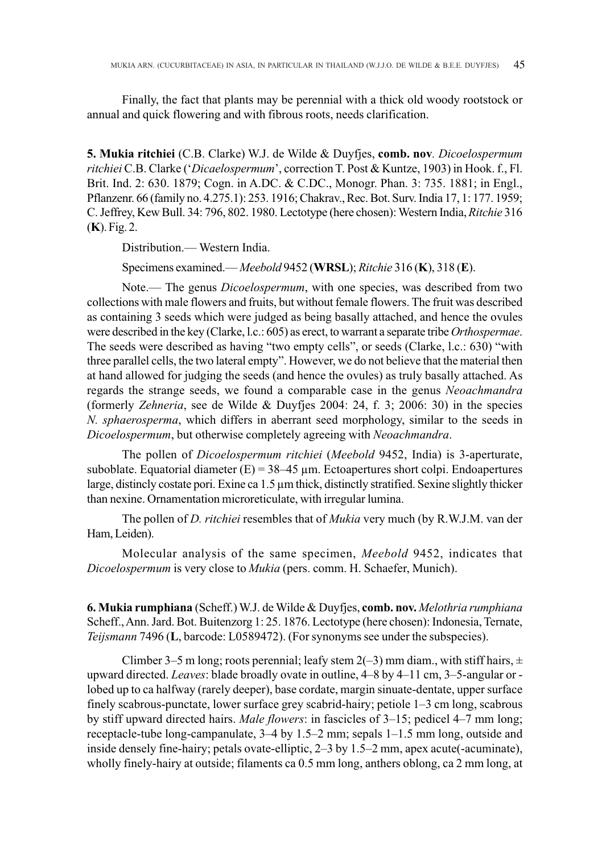Finally, the fact that plants may be perennial with a thick old woody rootstock or annual and quick flowering and with fibrous roots, needs clarification.

**5. Mukia ritchiei** (C.B. Clarke) W.J. de Wilde & Duyfjes, **comb. nov***. Dicoelospermum ritchiei* C.B. Clarke ('*Dicaelospermum*', correction T. Post & Kuntze, 1903) in Hook. f., Fl. Brit. Ind. 2: 630. 1879; Cogn. in A.DC. & C.DC., Monogr. Phan. 3: 735. 1881; in Engl., Pflanzenr. 66 (family no. 4.275.1): 253. 1916; Chakrav., Rec. Bot. Surv. India 17, 1: 177. 1959; C. Jeffrey, Kew Bull. 34: 796, 802. 1980. Lectotype (here chosen): Western India, *Ritchie* 316 (**K**). Fig. 2.

Distribution.— Western India.

Specimens examined.—*Meebold* 9452 (**WRSL**); *Ritchie* 316 (**K**), 318 (**E**).

Note.— The genus *Dicoelospermum*, with one species, was described from two collections with male flowers and fruits, but without female flowers. The fruit was described as containing 3 seeds which were judged as being basally attached, and hence the ovules were described in the key (Clarke, l.c.: 605) as erect, to warrant a separate tribe *Orthospermae*. The seeds were described as having "two empty cells", or seeds (Clarke, l.c.: 630) "with three parallel cells, the two lateral empty". However, we do not believe that the material then at hand allowed for judging the seeds (and hence the ovules) as truly basally attached. As regards the strange seeds, we found a comparable case in the genus *Neoachmandra* (formerly *Zehneria*, see de Wilde & Duyfjes 2004: 24, f. 3; 2006: 30) in the species *N. sphaerosperma*, which differs in aberrant seed morphology, similar to the seeds in *Dicoelospermum*, but otherwise completely agreeing with *Neoachmandra*.

The pollen of *Dicoelospermum ritchiei* (*Meebold* 9452, India) is 3-aperturate, suboblate. Equatorial diameter  $(E) = 38-45 \mu m$ . Ectoapertures short colpi. Endoapertures large, distincly costate pori. Exine ca 1.5 µm thick, distinctly stratified. Sexine slightly thicker than nexine. Ornamentation microreticulate, with irregular lumina.

The pollen of *D. ritchiei* resembles that of *Mukia* very much (by R.W.J.M. van der Ham, Leiden).

Molecular analysis of the same specimen, *Meebold* 9452, indicates that *Dicoelospermum* is very close to *Mukia* (pers. comm. H. Schaefer, Munich).

**6. Mukia rumphiana** (Scheff.) W.J. de Wilde & Duyfjes, **comb. nov.** *Melothria rumphiana* Scheff., Ann. Jard. Bot. Buitenzorg 1: 25. 1876. Lectotype (here chosen): Indonesia, Ternate, *Teijsmann* 7496 (**L**, barcode: L0589472). (For synonyms see under the subspecies).

Climber 3–5 m long; roots perennial; leafy stem 2(–3) mm diam., with stiff hairs,  $\pm$ upward directed. *Leaves*: blade broadly ovate in outline, 4–8 by 4–11 cm, 3–5-angular or lobed up to ca halfway (rarely deeper), base cordate, margin sinuate-dentate, upper surface finely scabrous-punctate, lower surface grey scabrid-hairy; petiole 1–3 cm long, scabrous by stiff upward directed hairs. *Male flowers*: in fascicles of 3–15; pedicel 4–7 mm long; receptacle-tube long-campanulate, 3–4 by 1.5–2 mm; sepals 1–1.5 mm long, outside and inside densely fine-hairy; petals ovate-elliptic,  $2-3$  by  $1.5-2$  mm, apex acute(-acuminate), wholly finely-hairy at outside; filaments ca 0.5 mm long, anthers oblong, ca 2 mm long, at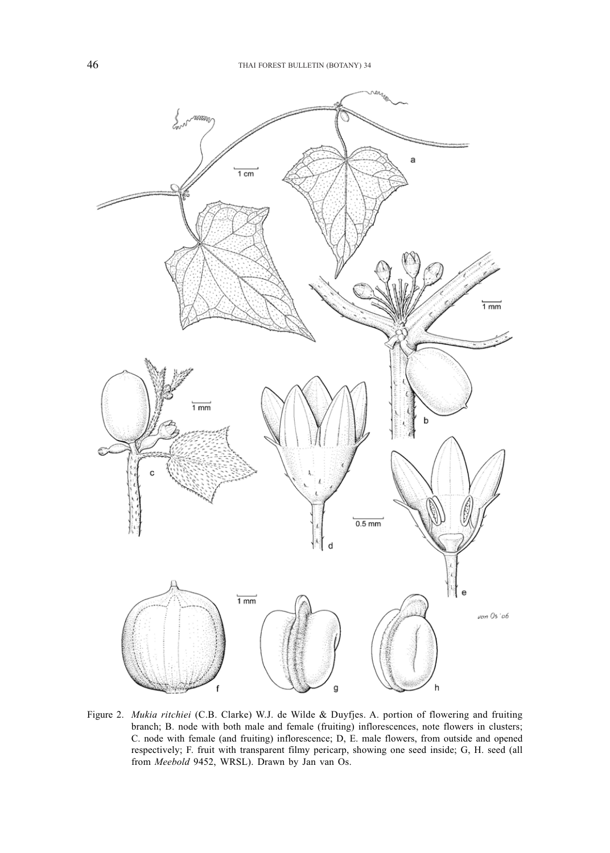

Figure 2. *Mukia ritchiei* (C.B. Clarke) W.J. de Wilde & Duyfjes. A. portion of flowering and fruiting branch; B. node with both male and female (fruiting) inflorescences, note flowers in clusters; C. node with female (and fruiting) inflorescence; D, E. male flowers, from outside and opened respectively; F. fruit with transparent filmy pericarp, showing one seed inside; G, H. seed (all from *Meebold* 9452, WRSL). Drawn by Jan van Os.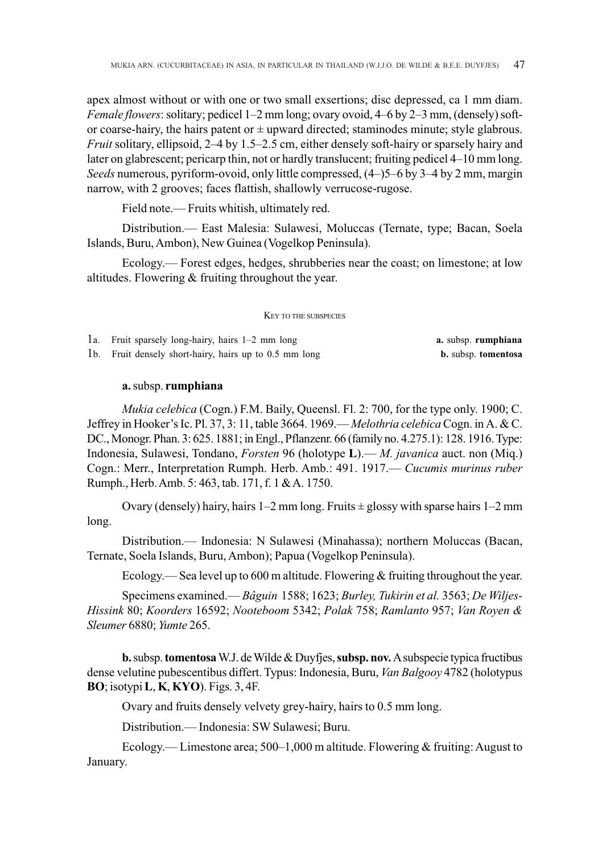apex almost without or with one or two small exsertions; disc depressed, ca 1 mm diam. *Female flowers*: solitary; pedicel 1–2 mm long; ovary ovoid, 4–6 by 2–3 mm, (densely) softor coarse-hairy, the hairs patent or  $\pm$  upward directed; staminodes minute; style glabrous. *Fruit* solitary, ellipsoid, 2–4 by 1.5–2.5 cm, either densely soft-hairy or sparsely hairy and later on glabrescent; pericarp thin, not or hardly translucent; fruiting pedicel 4–10 mm long. *Seeds* numerous, pyriform-ovoid, only little compressed, (4–)5–6 by 3–4 by 2 mm, margin narrow, with 2 grooves; faces flattish, shallowly verrucose-rugose.

Field note.— Fruits whitish, ultimately red.

Distribution.— East Malesia: Sulawesi, Moluccas (Ternate, type; Bacan, Soela Islands, Buru, Ambon), New Guinea (Vogelkop Peninsula).

Ecology.— Forest edges, hedges, shrubberies near the coast; on limestone; at low altitudes. Flowering & fruiting throughout the year.

#### KEY TO THE SUBSPECIES

| 1a. Fruit sparsely long-hairy, hairs 1–2 mm long       | a. subsp. rumphiana        |
|--------------------------------------------------------|----------------------------|
| 1b. Fruit densely short-hairy, hairs up to 0.5 mm long | <b>b.</b> subsp. tomentosa |

### **a.** subsp. **rumphiana**

*Mukia celebica* (Cogn.) F.M. Baily, Queensl. Fl. 2: 700, for the type only. 1900; C. Jeffrey in Hooker's Ic. Pl. 37, 3: 11, table 3664. 1969.—*Melothria celebica* Cogn. in A. & C. DC., Monogr. Phan. 3: 625. 1881; in Engl., Pflanzenr. 66 (family no. 4.275.1): 128. 1916. Type: Indonesia, Sulawesi, Tondano, *Forsten* 96 (holotype **L**).— *M. javanica* auct. non (Miq.) Cogn.: Merr., Interpretation Rumph. Herb. Amb.: 491. 1917.— *Cucumis murinus ruber* Rumph., Herb. Amb. 5: 463, tab. 171, f. 1 & A. 1750.

Ovary (densely) hairy, hairs  $1-2$  mm long. Fruits  $\pm$  glossy with sparse hairs  $1-2$  mm long.

Distribution.— Indonesia: N Sulawesi (Minahassa); northern Moluccas (Bacan, Ternate, Soela Islands, Buru, Ambon); Papua (Vogelkop Peninsula).

Ecology.— Sea level up to 600 m altitude. Flowering  $&$  fruiting throughout the year.

Specimens examined.— *Bâguin* 1588; 1623; *Burley, Tukirin et al.* 3563; *De Wiljes-Hissink* 80; *Koorders* 16592; *Nooteboom* 5342; *Polak* 758; *Ramlanto* 957; *Van Royen & Sleumer* 6880; *Yumte* 265.

**b.** subsp. **tomentosa** W.J. de Wilde & Duyfjes, **subsp. nov.** A subspecie typica fructibus dense velutine pubescentibus differt. Typus: Indonesia, Buru, *Van Balgooy* 4782 (holotypus **BO**; isotypi **L**, **K**, **KYO**). Figs. 3, 4F.

Ovary and fruits densely velvety grey-hairy, hairs to 0.5 mm long.

Distribution.— Indonesia: SW Sulawesi; Buru.

Ecology.— Limestone area;  $500-1,000$  m altitude. Flowering & fruiting: August to January.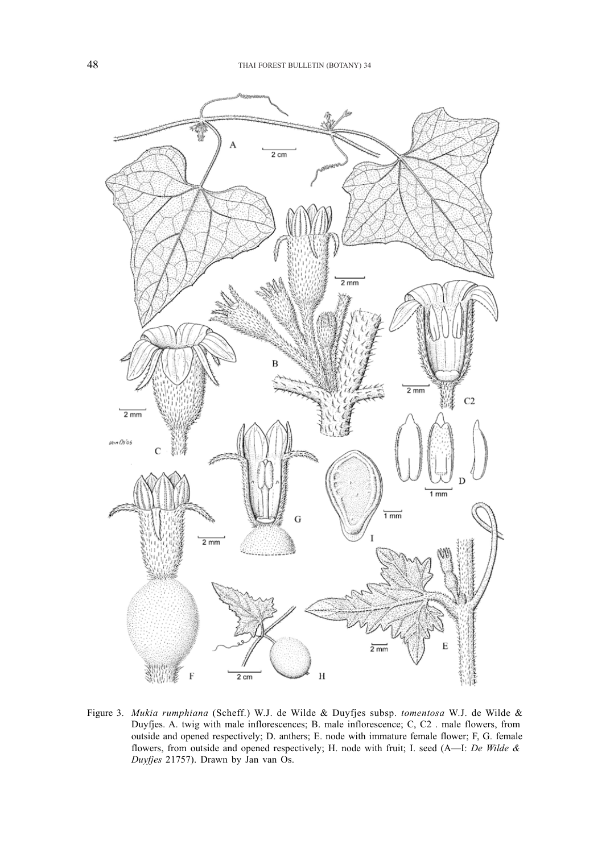

Figure 3. *Mukia rumphiana* (Scheff.) W.J. de Wilde & Duyfjes subsp. *tomentosa* W.J. de Wilde & Duyfjes. A. twig with male inflorescences; B. male inflorescence; C, C2 . male flowers, from outside and opened respectively; D. anthers; E. node with immature female flower; F, G. female flowers, from outside and opened respectively; H. node with fruit; I. seed (A—I: *De Wilde & Duyfjes* 21757). Drawn by Jan van Os.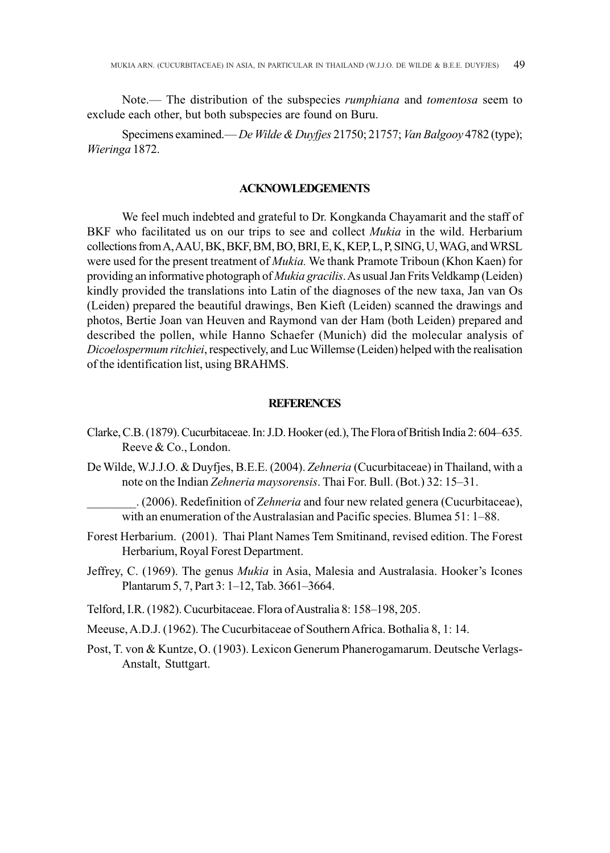Note.— The distribution of the subspecies *rumphiana* and *tomentosa* seem to exclude each other, but both subspecies are found on Buru.

Specimens examined.—*De Wilde & Duyfjes* 21750; 21757; *Van Balgooy* 4782 (type); *Wieringa* 1872.

# **ACKNOWLEDGEMENTS**

We feel much indebted and grateful to Dr. Kongkanda Chayamarit and the staff of BKF who facilitated us on our trips to see and collect *Mukia* in the wild. Herbarium collections from A, AAU, BK, BKF, BM, BO, BRI, E, K, KEP, L, P, SING, U, WAG, and WRSL were used for the present treatment of *Mukia.* We thank Pramote Triboun (Khon Kaen) for providing an informative photograph of *Mukia gracilis*. As usual Jan Frits Veldkamp (Leiden) kindly provided the translations into Latin of the diagnoses of the new taxa, Jan van Os (Leiden) prepared the beautiful drawings, Ben Kieft (Leiden) scanned the drawings and photos, Bertie Joan van Heuven and Raymond van der Ham (both Leiden) prepared and described the pollen, while Hanno Schaefer (Munich) did the molecular analysis of *Dicoelospermum ritchiei*, respectively, and Luc Willemse (Leiden) helped with the realisation of the identification list, using BRAHMS.

## **REFERENCES**

- Clarke, C.B. (1879). Cucurbitaceae. In: J.D. Hooker (ed.), The Flora of British India 2: 604–635. Reeve & Co., London.
- De Wilde, W.J.J.O. & Duyfjes, B.E.E. (2004). *Zehneria* (Cucurbitaceae) in Thailand, with a note on the Indian *Zehneria maysorensis*. Thai For. Bull. (Bot.) 32: 15–31.

\_\_\_\_\_\_\_\_. (2006). Redefinition of *Zehneria* and four new related genera (Cucurbitaceae), with an enumeration of the Australasian and Pacific species. Blumea 51: 1–88.

- Forest Herbarium. (2001). Thai Plant Names Tem Smitinand, revised edition. The Forest Herbarium, Royal Forest Department.
- Jeffrey, C. (1969). The genus *Mukia* in Asia, Malesia and Australasia. Hooker's Icones Plantarum 5, 7, Part 3: 1–12, Tab. 3661–3664.
- Telford, I.R. (1982). Cucurbitaceae. Flora of Australia 8: 158–198, 205.
- Meeuse, A.D.J. (1962). The Cucurbitaceae of Southern Africa. Bothalia 8, 1: 14.
- Post, T. von & Kuntze, O. (1903). Lexicon Generum Phanerogamarum. Deutsche Verlags-Anstalt, Stuttgart.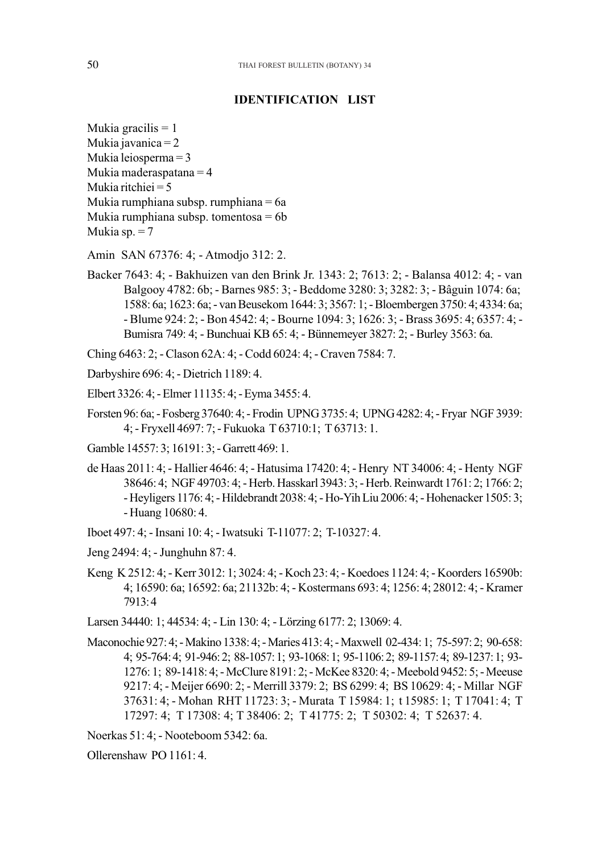# **IDENTIFICATION LIST IDENTIFICATION LIST**

- Mukia gracilis = 1 gracilis = 1 Mukia javanica = 2 Mukia leiosperma = 3 Mukia maderaspatana = 4 Mukia ritchiei = 5 Mukia rumphiana subsp. rumphiana = 6a Mukia rumphiana subsp. tomentosa  $= 6b$ Mukia sp.  $= 7$
- Amin SAN 67376: 4; Atmodjo 312: 2. SAN 67376: 4; Atmodjo 312: 2.
- Backer 7643: 4; Bakhuizen van den Brink Jr. 1343: 2; 7613: 2; Balansa 4012: 4; van Balgooy 4782: 6b; - Barnes 985: 3; - Beddome 3280: 3; 3282: 3; - Bâguin 1074: 6a; 1588: 6a; 1623: 6a; - van Beusekom 1644: 3; 3567: 1; - Bloembergen 3750: 4; 4334: 6a; - Blume 924: 2; - Bon 4542: 4; - Bourne 1094: 3; 1626: 3; - Brass 3695: 4; 6357: 4; - Bumisra 749: 4; - Bunchuai KB 65: 4; - Bünnemeyer 3827: 2; - Burley 3563: 6a.
- Ching 6463: 2; Clason 62A: 4; Codd 6024: 4; Craven 7584: 7.
- Darbyshire 696: 4; Dietrich 1189: 4.
- Elbert 3326: 4; Elmer 11135: 4; Eyma 3455: 4.
- Forsten 96: 6a; Fosberg 37640: 4; Frodin UPNG 3735: 4; UPNG 4282: 4; Fryar NGF 3939: 4; - Fryxell 4697: 7; - Fukuoka T 63710:1; T 63713: 1.
- Gamble 14557: 3; 16191: 3; Garrett 469: 1.
- de Haas 2011: 4; Hallier 4646: 4; Hatusima 17420: 4; Henry NT 34006: 4; Henty NGF 38646: 4; NGF 49703: 4; - Herb. Hasskarl 3943: 3; - Herb. Reinwardt 1761: 2; 1766: 2; - Heyligers 1176: 4; - Hildebrandt 2038: 4; - Ho-Yih Liu 2006: 4; - Hohenacker 1505: 3; - Huang 10680: 4.
- Iboet 497: 4; Insani 10: 4; Iwatsuki T-11077: 2; T-10327: 4.
- Jeng 2494: 4; Junghuhn 87: 4.
- Keng K 2512: 4; Kerr 3012: 1; 3024: 4; Koch 23: 4; Koedoes 1124: 4; Koorders 16590b: 4; 16590: 6a; 16592: 6a; 21132b: 4; - Kostermans 693: 4; 1256: 4; 28012: 4; - Kramer 7913: 4
- Larsen 34440: 1; 44534: 4; Lin 130: 4; Lörzing 6177: 2; 13069: 4.
- Maconochie 927: 4; Makino 1338: 4; Maries 413: 4; Maxwell 02-434: 1; 75-597: 2; 90-658: 4; 95-764: 4; 91-946: 2; 88-1057: 1; 93-1068: 1; 95-1106: 2; 89-1157: 4; 89-1237: 1; 93- 1276: 1; 89-1418: 4; - McClure 8191: 2; - McKee 8320: 4; - Meebold 9452: 5; - Meeuse 9217: 4; - Meijer 6690: 2; - Merrill 3379: 2; BS 6299: 4; BS 10629: 4; - Millar NGF 37631: 4; - Mohan RHT 11723: 3; - Murata T 15984: 1; t 15985: 1; T 17041: 4; T 17297: 4; T 17308: 4; T 38406: 2; T 41775: 2; T 50302: 4; T 52637: 4. 17297: 4; T 17308: 4; T 38406: 2; T 41775: 2; T 50302: 4; T 52637: 4.
- Noerkas 51: 4; Nooteboom 5342: 6a.

Ollerenshaw PO 1161: 4.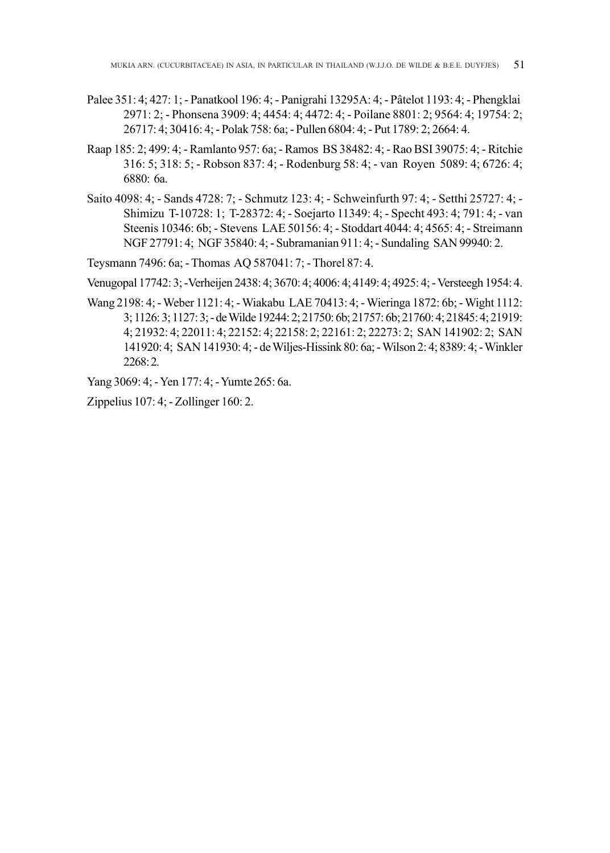- Palee 351: 4; 427: 1; Panatkool 196: 4; Panigrahi 13295A: 4; Pâtelot 1193: 4; Phengklai 2971: 2; - Phonsena 3909: 4; 4454: 4; 4472: 4; - Poilane 8801: 2; 9564: 4; 19754: 2; 26717: 4; 30416: 4; - Polak 758: 6a; - Pullen 6804: 4; - Put 1789: 2; 2664: 4.
- Raap 185: 2; 499: 4; Ramlanto 957: 6a; Ramos BS 38482: 4; Rao BSI 39075: 4; Ritchie 316: 5; 318: 5; - Robson 837: 4; - Rodenburg 58: 4; - van Royen 5089: 4; 6726: 4; 6880: 6a.
- Saito 4098: 4; Sands 4728: 7; Schmutz 123: 4; Schweinfurth 97: 4; Setthi 25727: 4; Shimizu T-10728: 1; T-28372: 4; - Soejarto 11349: 4; - Specht 493: 4; 791: 4; - van Steenis 10346: 6b; - Stevens LAE 50156: 4; - Stoddart 4044: 4; 4565: 4; - Streimann NGF 27791: 4; NGF 35840: 4; - Subramanian 911: 4; - Sundaling SAN 99940: 2.
- Teysmann 7496: 6a; Thomas AQ 587041: 7; Thorel 87: 4.

Venugopal 17742: 3; -Verheijen 2438: 4; 3670: 4; 4006: 4; 4149: 4; 4925: 4; - Versteegh 1954: 4.

Wang 2198: 4; - Weber 1121: 4; - Wiakabu LAE 70413: 4; - Wieringa 1872: 6b; - Wight 1112: 3; 1126: 3; 1127: 3; - de Wilde 19244: 2; 21750: 6b; 21757: 6b; 21760: 4; 21845: 4; 21919: 4; 21932: 4; 22011: 4; 22152: 4; 22158: 2; 22161: 2; 22273: 2; SAN 141902: 2; SAN 141920: 4; SAN 141930: 4; - de Wiljes-Hissink 80: 6a; - Wilson 2: 4; 8389: 4; - Winkler 2268: 2.

Yang 3069: 4; - Yen 177: 4; - Yumte 265: 6a.

Zippelius 107: 4; - Zollinger 160: 2.